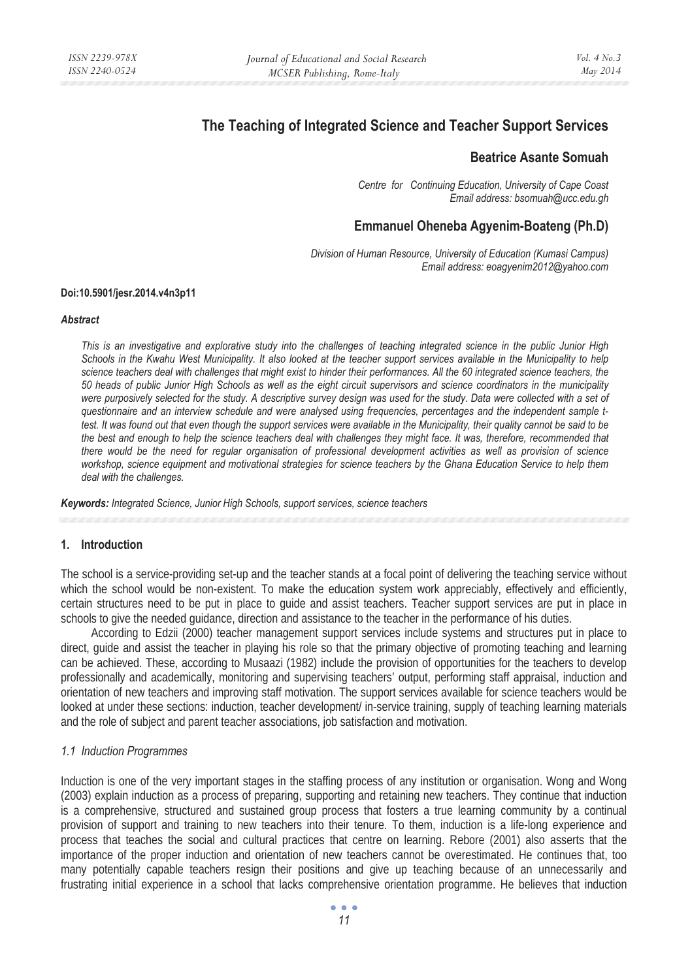# **The Teaching of Integrated Science and Teacher Support Services**

# **Beatrice Asante Somuah**

*Centre for Continuing Education, University of Cape Coast Email address: bsomuah@ucc.edu.gh* 

# **Emmanuel Oheneba Agyenim-Boateng (Ph.D)**

*Division of Human Resource, University of Education (Kumasi Campus) Email address: eoagyenim2012@yahoo.com* 

#### **Doi:10.5901/jesr.2014.v4n3p11**

#### *Abstract*

*This is an investigative and explorative study into the challenges of teaching integrated science in the public Junior High Schools in the Kwahu West Municipality. It also looked at the teacher support services available in the Municipality to help science teachers deal with challenges that might exist to hinder their performances. All the 60 integrated science teachers, the 50 heads of public Junior High Schools as well as the eight circuit supervisors and science coordinators in the municipality were purposively selected for the study. A descriptive survey design was used for the study. Data were collected with a set of questionnaire and an interview schedule and were analysed using frequencies, percentages and the independent sample ttest. It was found out that even though the support services were available in the Municipality, their quality cannot be said to be the best and enough to help the science teachers deal with challenges they might face. It was, therefore, recommended that there would be the need for regular organisation of professional development activities as well as provision of science workshop, science equipment and motivational strategies for science teachers by the Ghana Education Service to help them deal with the challenges.* 

*Keywords: Integrated Science, Junior High Schools, support services, science teachers* 

#### **1. Introduction**

The school is a service-providing set-up and the teacher stands at a focal point of delivering the teaching service without which the school would be non-existent. To make the education system work appreciably, effectively and efficiently, certain structures need to be put in place to guide and assist teachers. Teacher support services are put in place in schools to give the needed guidance, direction and assistance to the teacher in the performance of his duties.

According to Edzii (2000) teacher management support services include systems and structures put in place to direct, guide and assist the teacher in playing his role so that the primary objective of promoting teaching and learning can be achieved. These, according to Musaazi (1982) include the provision of opportunities for the teachers to develop professionally and academically, monitoring and supervising teachers' output, performing staff appraisal, induction and orientation of new teachers and improving staff motivation. The support services available for science teachers would be looked at under these sections: induction, teacher development/ in-service training, supply of teaching learning materials and the role of subject and parent teacher associations, job satisfaction and motivation.

### *1.1 Induction Programmes*

Induction is one of the very important stages in the staffing process of any institution or organisation. Wong and Wong (2003) explain induction as a process of preparing, supporting and retaining new teachers. They continue that induction is a comprehensive, structured and sustained group process that fosters a true learning community by a continual provision of support and training to new teachers into their tenure. To them, induction is a life-long experience and process that teaches the social and cultural practices that centre on learning. Rebore (2001) also asserts that the importance of the proper induction and orientation of new teachers cannot be overestimated. He continues that, too many potentially capable teachers resign their positions and give up teaching because of an unnecessarily and frustrating initial experience in a school that lacks comprehensive orientation programme. He believes that induction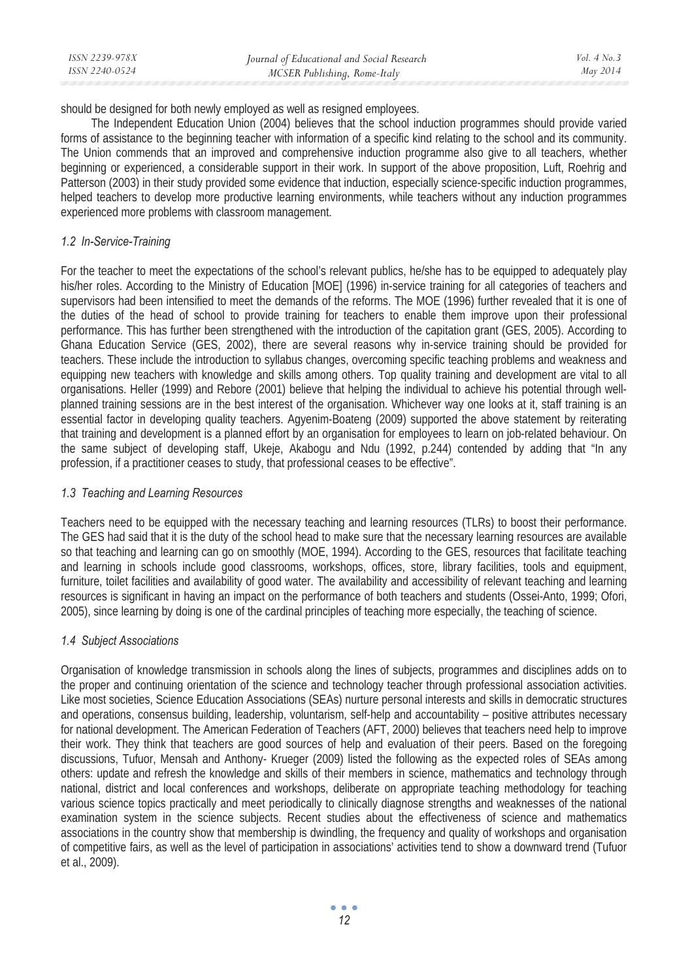should be designed for both newly employed as well as resigned employees.

The Independent Education Union (2004) believes that the school induction programmes should provide varied forms of assistance to the beginning teacher with information of a specific kind relating to the school and its community. The Union commends that an improved and comprehensive induction programme also give to all teachers, whether beginning or experienced, a considerable support in their work. In support of the above proposition, Luft, Roehrig and Patterson (2003) in their study provided some evidence that induction, especially science-specific induction programmes, helped teachers to develop more productive learning environments, while teachers without any induction programmes experienced more problems with classroom management.

# *1.2 In-Service-Training*

For the teacher to meet the expectations of the school's relevant publics, he/she has to be equipped to adequately play his/her roles. According to the Ministry of Education [MOE] (1996) in-service training for all categories of teachers and supervisors had been intensified to meet the demands of the reforms. The MOE (1996) further revealed that it is one of the duties of the head of school to provide training for teachers to enable them improve upon their professional performance. This has further been strengthened with the introduction of the capitation grant (GES, 2005). According to Ghana Education Service (GES, 2002), there are several reasons why in-service training should be provided for teachers. These include the introduction to syllabus changes, overcoming specific teaching problems and weakness and equipping new teachers with knowledge and skills among others. Top quality training and development are vital to all organisations. Heller (1999) and Rebore (2001) believe that helping the individual to achieve his potential through wellplanned training sessions are in the best interest of the organisation. Whichever way one looks at it, staff training is an essential factor in developing quality teachers. Agyenim-Boateng (2009) supported the above statement by reiterating that training and development is a planned effort by an organisation for employees to learn on job-related behaviour. On the same subject of developing staff, Ukeje, Akabogu and Ndu (1992, p.244) contended by adding that "In any profession, if a practitioner ceases to study, that professional ceases to be effective".

# *1.3 Teaching and Learning Resources*

Teachers need to be equipped with the necessary teaching and learning resources (TLRs) to boost their performance. The GES had said that it is the duty of the school head to make sure that the necessary learning resources are available so that teaching and learning can go on smoothly (MOE, 1994). According to the GES, resources that facilitate teaching and learning in schools include good classrooms, workshops, offices, store, library facilities, tools and equipment, furniture, toilet facilities and availability of good water. The availability and accessibility of relevant teaching and learning resources is significant in having an impact on the performance of both teachers and students (Ossei-Anto, 1999; Ofori, 2005), since learning by doing is one of the cardinal principles of teaching more especially, the teaching of science.

# *1.4 Subject Associations*

Organisation of knowledge transmission in schools along the lines of subjects, programmes and disciplines adds on to the proper and continuing orientation of the science and technology teacher through professional association activities. Like most societies, Science Education Associations (SEAs) nurture personal interests and skills in democratic structures and operations, consensus building, leadership, voluntarism, self-help and accountability – positive attributes necessary for national development. The American Federation of Teachers (AFT, 2000) believes that teachers need help to improve their work. They think that teachers are good sources of help and evaluation of their peers. Based on the foregoing discussions, Tufuor, Mensah and Anthony- Krueger (2009) listed the following as the expected roles of SEAs among others: update and refresh the knowledge and skills of their members in science, mathematics and technology through national, district and local conferences and workshops, deliberate on appropriate teaching methodology for teaching various science topics practically and meet periodically to clinically diagnose strengths and weaknesses of the national examination system in the science subjects. Recent studies about the effectiveness of science and mathematics associations in the country show that membership is dwindling, the frequency and quality of workshops and organisation of competitive fairs, as well as the level of participation in associations' activities tend to show a downward trend (Tufuor et al., 2009).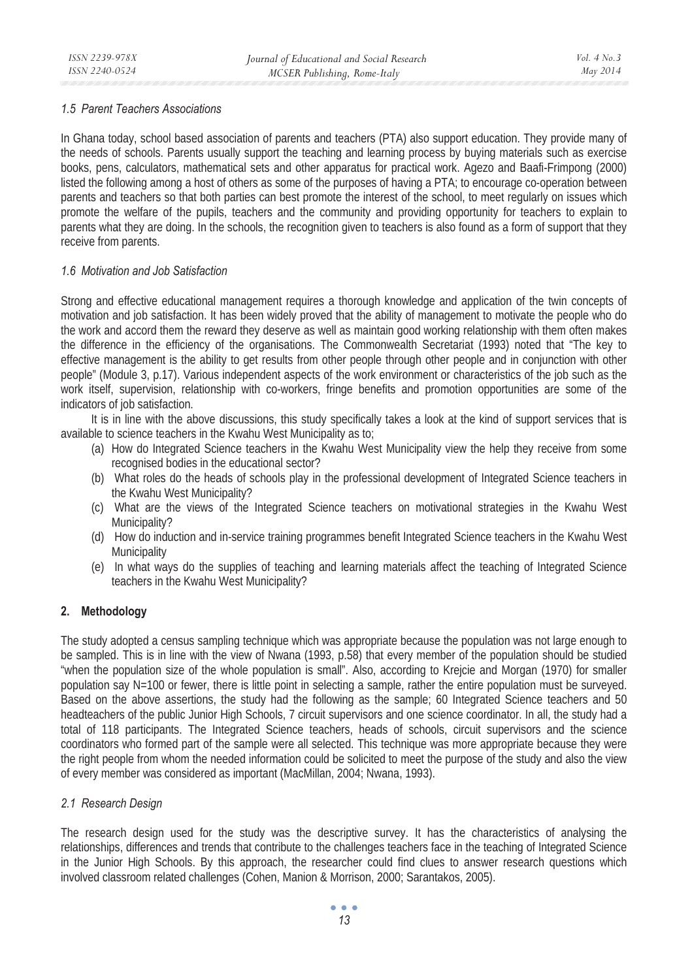### *1.5 Parent Teachers Associations*

In Ghana today, school based association of parents and teachers (PTA) also support education. They provide many of the needs of schools. Parents usually support the teaching and learning process by buying materials such as exercise books, pens, calculators, mathematical sets and other apparatus for practical work. Agezo and Baafi-Frimpong (2000) listed the following among a host of others as some of the purposes of having a PTA; to encourage co-operation between parents and teachers so that both parties can best promote the interest of the school, to meet regularly on issues which promote the welfare of the pupils, teachers and the community and providing opportunity for teachers to explain to parents what they are doing. In the schools, the recognition given to teachers is also found as a form of support that they receive from parents.

### *1.6 Motivation and Job Satisfaction*

Strong and effective educational management requires a thorough knowledge and application of the twin concepts of motivation and job satisfaction. It has been widely proved that the ability of management to motivate the people who do the work and accord them the reward they deserve as well as maintain good working relationship with them often makes the difference in the efficiency of the organisations. The Commonwealth Secretariat (1993) noted that "The key to effective management is the ability to get results from other people through other people and in conjunction with other people" (Module 3, p.17). Various independent aspects of the work environment or characteristics of the job such as the work itself, supervision, relationship with co-workers, fringe benefits and promotion opportunities are some of the indicators of job satisfaction.

It is in line with the above discussions, this study specifically takes a look at the kind of support services that is available to science teachers in the Kwahu West Municipality as to;

- (a) How do Integrated Science teachers in the Kwahu West Municipality view the help they receive from some recognised bodies in the educational sector?
- (b) What roles do the heads of schools play in the professional development of Integrated Science teachers in the Kwahu West Municipality?
- (c) What are the views of the Integrated Science teachers on motivational strategies in the Kwahu West Municipality?
- (d) How do induction and in-service training programmes benefit Integrated Science teachers in the Kwahu West **Municipality**
- (e) In what ways do the supplies of teaching and learning materials affect the teaching of Integrated Science teachers in the Kwahu West Municipality?

# **2. Methodology**

The study adopted a census sampling technique which was appropriate because the population was not large enough to be sampled. This is in line with the view of Nwana (1993, p.58) that every member of the population should be studied "when the population size of the whole population is small". Also, according to Krejcie and Morgan (1970) for smaller population say N=100 or fewer, there is little point in selecting a sample, rather the entire population must be surveyed. Based on the above assertions, the study had the following as the sample; 60 Integrated Science teachers and 50 headteachers of the public Junior High Schools, 7 circuit supervisors and one science coordinator. In all, the study had a total of 118 participants. The Integrated Science teachers, heads of schools, circuit supervisors and the science coordinators who formed part of the sample were all selected. This technique was more appropriate because they were the right people from whom the needed information could be solicited to meet the purpose of the study and also the view of every member was considered as important (MacMillan, 2004; Nwana, 1993).

# *2.1 Research Design*

The research design used for the study was the descriptive survey. It has the characteristics of analysing the relationships, differences and trends that contribute to the challenges teachers face in the teaching of Integrated Science in the Junior High Schools. By this approach, the researcher could find clues to answer research questions which involved classroom related challenges (Cohen, Manion & Morrison, 2000; Sarantakos, 2005).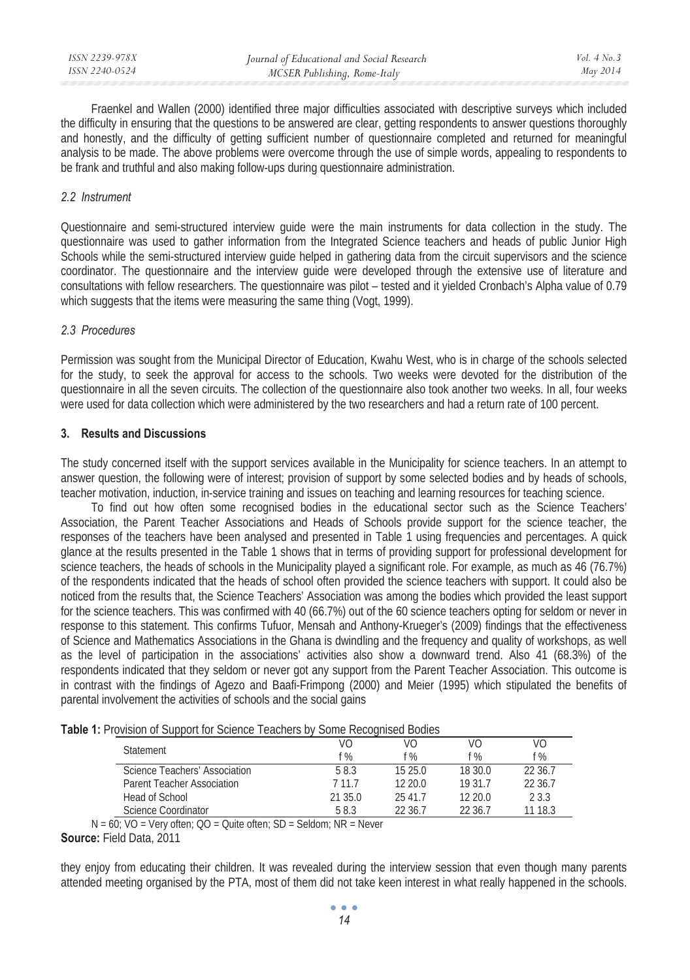Fraenkel and Wallen (2000) identified three major difficulties associated with descriptive surveys which included the difficulty in ensuring that the questions to be answered are clear, getting respondents to answer questions thoroughly and honestly, and the difficulty of getting sufficient number of questionnaire completed and returned for meaningful analysis to be made. The above problems were overcome through the use of simple words, appealing to respondents to be frank and truthful and also making follow-ups during questionnaire administration.

### *2.2 Instrument*

Questionnaire and semi-structured interview guide were the main instruments for data collection in the study. The questionnaire was used to gather information from the Integrated Science teachers and heads of public Junior High Schools while the semi-structured interview guide helped in gathering data from the circuit supervisors and the science coordinator. The questionnaire and the interview guide were developed through the extensive use of literature and consultations with fellow researchers. The questionnaire was pilot – tested and it yielded Cronbach's Alpha value of 0.79 which suggests that the items were measuring the same thing (Vogt, 1999).

### *2.3 Procedures*

Permission was sought from the Municipal Director of Education, Kwahu West, who is in charge of the schools selected for the study, to seek the approval for access to the schools. Two weeks were devoted for the distribution of the questionnaire in all the seven circuits. The collection of the questionnaire also took another two weeks. In all, four weeks were used for data collection which were administered by the two researchers and had a return rate of 100 percent.

### **3. Results and Discussions**

The study concerned itself with the support services available in the Municipality for science teachers. In an attempt to answer question, the following were of interest; provision of support by some selected bodies and by heads of schools, teacher motivation, induction, in-service training and issues on teaching and learning resources for teaching science.

To find out how often some recognised bodies in the educational sector such as the Science Teachers' Association, the Parent Teacher Associations and Heads of Schools provide support for the science teacher, the responses of the teachers have been analysed and presented in Table 1 using frequencies and percentages. A quick glance at the results presented in the Table 1 shows that in terms of providing support for professional development for science teachers, the heads of schools in the Municipality played a significant role. For example, as much as 46 (76.7%) of the respondents indicated that the heads of school often provided the science teachers with support. It could also be noticed from the results that, the Science Teachers' Association was among the bodies which provided the least support for the science teachers. This was confirmed with 40 (66.7%) out of the 60 science teachers opting for seldom or never in response to this statement. This confirms Tufuor, Mensah and Anthony-Krueger's (2009) findings that the effectiveness of Science and Mathematics Associations in the Ghana is dwindling and the frequency and quality of workshops, as well as the level of participation in the associations' activities also show a downward trend. Also 41 (68.3%) of the respondents indicated that they seldom or never got any support from the Parent Teacher Association. This outcome is in contrast with the findings of Agezo and Baafi-Frimpong (2000) and Meier (1995) which stipulated the benefits of parental involvement the activities of schools and the social gains

| I Provision of Support for Science Teachers by Sonne Recognised Doules |         |         |         |         |
|------------------------------------------------------------------------|---------|---------|---------|---------|
| <b>Statement</b>                                                       |         | VO      | VO      | VO      |
|                                                                        | f %     | f %     | f %     | f %     |
| Science Teachers' Association                                          | 58.3    | 1525.0  | 18 30.0 | 22 36.7 |
| Parent Teacher Association                                             | 7 11 7  | 12,20.0 | 19 31 7 | 22 36.7 |
| Head of School                                                         | 21 35.0 | 2541.7  | 12,20.0 | 23.3    |
| Science Coordinator                                                    | 58.3    | 22 36.7 | 22 36.7 | 11 18.3 |

|  |  | Table 1: Provision of Support for Science Teachers by Some Recognised Bodies |
|--|--|------------------------------------------------------------------------------|
|  |  |                                                                              |

 $N = 60$ ;  $VO = Very$  often;  $OO = Quite$  often;  $SD = Seldom$ ;  $NR = Never$ 

they enjoy from educating their children. It was revealed during the interview session that even though many parents attended meeting organised by the PTA, most of them did not take keen interest in what really happened in the schools.

**Source:** Field Data, 2011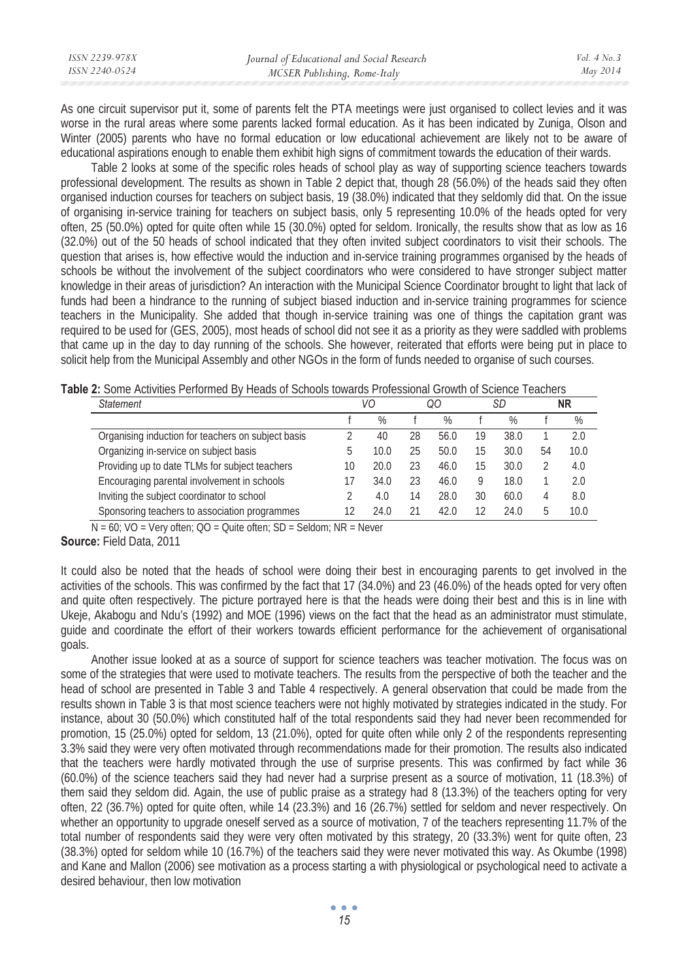| ISSN 2239-978X | Journal of Educational and Social Research | Vol. $4$ No. $3$ |
|----------------|--------------------------------------------|------------------|
| ISSN 2240-0524 | MCSER Publishing, Rome-Italy               | May 2014         |
|                |                                            |                  |

As one circuit supervisor put it, some of parents felt the PTA meetings were just organised to collect levies and it was worse in the rural areas where some parents lacked formal education. As it has been indicated by Zuniga, Olson and Winter (2005) parents who have no formal education or low educational achievement are likely not to be aware of educational aspirations enough to enable them exhibit high signs of commitment towards the education of their wards.

Table 2 looks at some of the specific roles heads of school play as way of supporting science teachers towards professional development. The results as shown in Table 2 depict that, though 28 (56.0%) of the heads said they often organised induction courses for teachers on subject basis, 19 (38.0%) indicated that they seldomly did that. On the issue of organising in-service training for teachers on subject basis, only 5 representing 10.0% of the heads opted for very often, 25 (50.0%) opted for quite often while 15 (30.0%) opted for seldom. Ironically, the results show that as low as 16 (32.0%) out of the 50 heads of school indicated that they often invited subject coordinators to visit their schools. The question that arises is, how effective would the induction and in-service training programmes organised by the heads of schools be without the involvement of the subject coordinators who were considered to have stronger subject matter knowledge in their areas of jurisdiction? An interaction with the Municipal Science Coordinator brought to light that lack of funds had been a hindrance to the running of subject biased induction and in-service training programmes for science teachers in the Municipality. She added that though in-service training was one of things the capitation grant was required to be used for (GES, 2005), most heads of school did not see it as a priority as they were saddled with problems that came up in the day to day running of the schools. She however, reiterated that efforts were being put in place to solicit help from the Municipal Assembly and other NGOs in the form of funds needed to organise of such courses.

| <b>Statement</b>                                   |    | VC   |    | QO   |    | SD   |    | ΝR   |
|----------------------------------------------------|----|------|----|------|----|------|----|------|
|                                                    |    | %    |    | $\%$ |    | $\%$ |    | $\%$ |
| Organising induction for teachers on subject basis |    | 40   | 28 | 56.0 | 19 | 38.0 |    | 2.0  |
| Organizing in-service on subject basis             | 5  | 10.0 | 25 | 50.0 | 15 | 30.0 | 54 | 10.0 |
| Providing up to date TLMs for subject teachers     | 10 | 20.0 | 23 | 46.0 | 15 | 30.0 |    | 4.0  |
| Encouraging parental involvement in schools        |    | 34.0 | 23 | 46.0 | Q  | 18.0 |    | 2.0  |
| Inviting the subject coordinator to school         |    | 4.0  | 14 | 28.0 | 30 | 60.0 |    | 8.0  |
| Sponsoring teachers to association programmes      |    | 24 N | 21 | 42.0 |    | 24.0 |    | 10.0 |

 $N = 60$ ; VO = Very often; QO = Quite often; SD = Seldom; NR = Never

**Source:** Field Data, 2011

It could also be noted that the heads of school were doing their best in encouraging parents to get involved in the activities of the schools. This was confirmed by the fact that 17 (34.0%) and 23 (46.0%) of the heads opted for very often and quite often respectively. The picture portrayed here is that the heads were doing their best and this is in line with Ukeje, Akabogu and Ndu's (1992) and MOE (1996) views on the fact that the head as an administrator must stimulate, guide and coordinate the effort of their workers towards efficient performance for the achievement of organisational goals.

Another issue looked at as a source of support for science teachers was teacher motivation. The focus was on some of the strategies that were used to motivate teachers. The results from the perspective of both the teacher and the head of school are presented in Table 3 and Table 4 respectively. A general observation that could be made from the results shown in Table 3 is that most science teachers were not highly motivated by strategies indicated in the study. For instance, about 30 (50.0%) which constituted half of the total respondents said they had never been recommended for promotion, 15 (25.0%) opted for seldom, 13 (21.0%), opted for quite often while only 2 of the respondents representing 3.3% said they were very often motivated through recommendations made for their promotion. The results also indicated that the teachers were hardly motivated through the use of surprise presents. This was confirmed by fact while 36 (60.0%) of the science teachers said they had never had a surprise present as a source of motivation, 11 (18.3%) of them said they seldom did. Again, the use of public praise as a strategy had 8 (13.3%) of the teachers opting for very often, 22 (36.7%) opted for quite often, while 14 (23.3%) and 16 (26.7%) settled for seldom and never respectively. On whether an opportunity to upgrade oneself served as a source of motivation, 7 of the teachers representing 11.7% of the total number of respondents said they were very often motivated by this strategy, 20 (33.3%) went for quite often, 23 (38.3%) opted for seldom while 10 (16.7%) of the teachers said they were never motivated this way. As Okumbe (1998) and Kane and Mallon (2006) see motivation as a process starting a with physiological or psychological need to activate a desired behaviour, then low motivation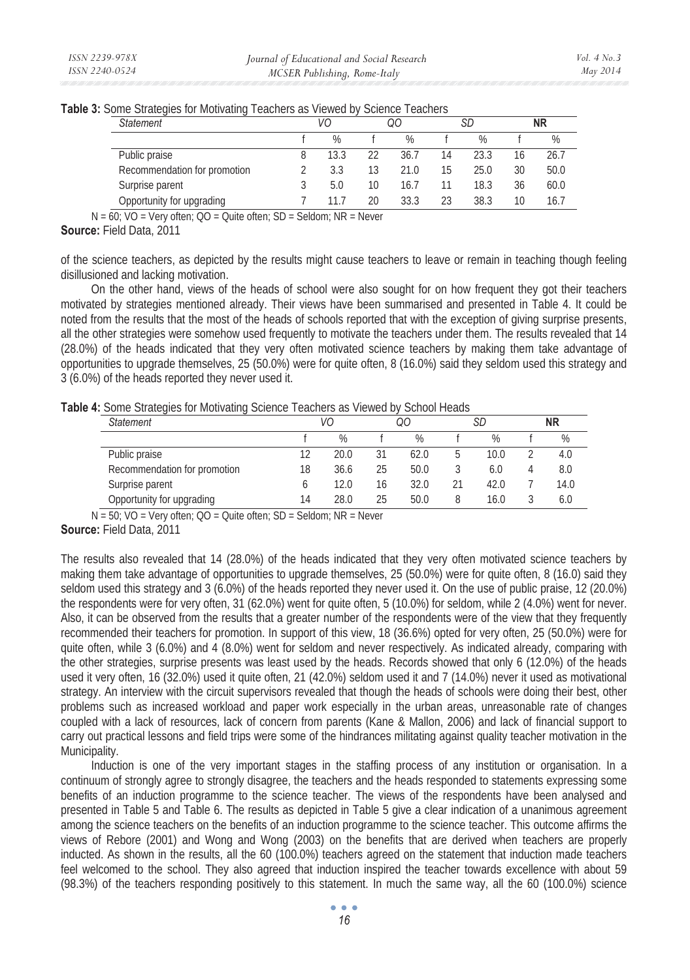| <b>Statement</b>             |      | VO   |    | QO   |    | SD   | ΝR |      |  |
|------------------------------|------|------|----|------|----|------|----|------|--|
|                              | $\%$ |      |    | %    |    | %    |    | %    |  |
| Public praise                |      | 13.3 | 22 | 36.7 | 14 | 23.3 | 16 | 26.7 |  |
| Recommendation for promotion |      | 3.3  | 13 | 21.0 | 15 | 25.0 | 30 | 50.0 |  |
| Surprise parent              |      | 5.0  | 10 | 16.7 |    | 18.3 | 36 | 60.0 |  |
| Opportunity for upgrading    |      | 11.7 | 20 | 33.3 | 23 | 38.3 | 10 | 16.7 |  |

#### **Table 3:** Some Strategies for Motivating Teachers as Viewed by Science Teachers

 $N = 60$ ;  $VO = Very$  often;  $OO =$  Quite often;  $SD =$  Seldom;  $NR =$  Never

**Source:** Field Data, 2011

of the science teachers, as depicted by the results might cause teachers to leave or remain in teaching though feeling disillusioned and lacking motivation.

On the other hand, views of the heads of school were also sought for on how frequent they got their teachers motivated by strategies mentioned already. Their views have been summarised and presented in Table 4. It could be noted from the results that the most of the heads of schools reported that with the exception of giving surprise presents, all the other strategies were somehow used frequently to motivate the teachers under them. The results revealed that 14 (28.0%) of the heads indicated that they very often motivated science teachers by making them take advantage of opportunities to upgrade themselves, 25 (50.0%) were for quite often, 8 (16.0%) said they seldom used this strategy and 3 (6.0%) of the heads reported they never used it.

**Table 4:** Some Strategies for Motivating Science Teachers as Viewed by School Heads

| <b>Statement</b>             |      | VO   |    | OΟ   |    | SD   |   | ΝR   |
|------------------------------|------|------|----|------|----|------|---|------|
|                              | $\%$ |      |    | %    |    | $\%$ |   | $\%$ |
| Public praise                | 12   | 20.0 | 31 | 62.0 |    | 10.0 |   | 4.0  |
| Recommendation for promotion | 18   | 36.6 | 25 | 50.0 |    | 6.0  | 4 | 8.0  |
| Surprise parent              |      | 12.0 | 16 | 32.0 | 21 | 42.0 |   | 14.0 |
| Opportunity for upgrading    | 14   | 28.0 | 25 | 50.0 | 8  | 16.0 |   | 6.0  |

 $N = 50$ ;  $VO = Very$  often;  $OO = Quite$  often;  $SD = Seldom$ ;  $NR = Never$ 

**Source:** Field Data, 2011

The results also revealed that 14 (28.0%) of the heads indicated that they very often motivated science teachers by making them take advantage of opportunities to upgrade themselves, 25 (50.0%) were for quite often, 8 (16.0) said they seldom used this strategy and 3 (6.0%) of the heads reported they never used it. On the use of public praise, 12 (20.0%) the respondents were for very often, 31 (62.0%) went for quite often, 5 (10.0%) for seldom, while 2 (4.0%) went for never. Also, it can be observed from the results that a greater number of the respondents were of the view that they frequently recommended their teachers for promotion. In support of this view, 18 (36.6%) opted for very often, 25 (50.0%) were for quite often, while 3 (6.0%) and 4 (8.0%) went for seldom and never respectively. As indicated already, comparing with the other strategies, surprise presents was least used by the heads. Records showed that only 6 (12.0%) of the heads used it very often, 16 (32.0%) used it quite often, 21 (42.0%) seldom used it and 7 (14.0%) never it used as motivational strategy. An interview with the circuit supervisors revealed that though the heads of schools were doing their best, other problems such as increased workload and paper work especially in the urban areas, unreasonable rate of changes coupled with a lack of resources, lack of concern from parents (Kane & Mallon, 2006) and lack of financial support to carry out practical lessons and field trips were some of the hindrances militating against quality teacher motivation in the Municipality.

Induction is one of the very important stages in the staffing process of any institution or organisation. In a continuum of strongly agree to strongly disagree, the teachers and the heads responded to statements expressing some benefits of an induction programme to the science teacher. The views of the respondents have been analysed and presented in Table 5 and Table 6. The results as depicted in Table 5 give a clear indication of a unanimous agreement among the science teachers on the benefits of an induction programme to the science teacher. This outcome affirms the views of Rebore (2001) and Wong and Wong (2003) on the benefits that are derived when teachers are properly inducted. As shown in the results, all the 60 (100.0%) teachers agreed on the statement that induction made teachers feel welcomed to the school. They also agreed that induction inspired the teacher towards excellence with about 59 (98.3%) of the teachers responding positively to this statement. In much the same way, all the 60 (100.0%) science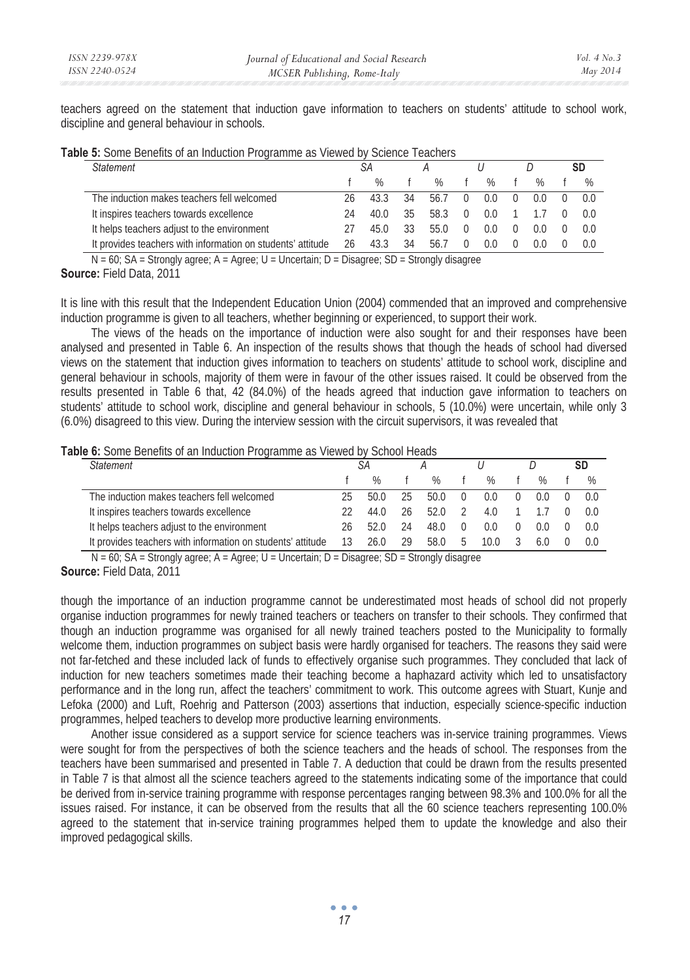teachers agreed on the statement that induction gave information to teachers on students' attitude to school work, discipline and general behaviour in schools.

| Table 5: Some Benefits of an Induction Programme as Viewed by Science Teachers |  |  |  |  |  |  |
|--------------------------------------------------------------------------------|--|--|--|--|--|--|
|--------------------------------------------------------------------------------|--|--|--|--|--|--|

| Statement                                                   |    |               |    |      |  |     |  |   |  | SD |
|-------------------------------------------------------------|----|---------------|----|------|--|-----|--|---|--|----|
|                                                             |    | $\frac{0}{6}$ |    | %    |  | %   |  | % |  |    |
| The induction makes teachers fell welcomed                  | 26 | 433           | 34 | 56.7 |  | n n |  |   |  |    |
| It inspires teachers towards excellence                     | 24 | 40 Q          | 35 | 58.3 |  | n n |  |   |  |    |
| It helps teachers adjust to the environment                 | 27 | 45 O          | 33 | 55.0 |  | n n |  |   |  |    |
| It provides teachers with information on students' attitude | 26 | 43.3          | 34 | 56.7 |  |     |  |   |  |    |

N = 60; SA = Strongly agree; A = Agree; U = Uncertain; D = Disagree; SD = Strongly disagree

**Source:** Field Data, 2011

It is line with this result that the Independent Education Union (2004) commended that an improved and comprehensive induction programme is given to all teachers, whether beginning or experienced, to support their work.

The views of the heads on the importance of induction were also sought for and their responses have been analysed and presented in Table 6. An inspection of the results shows that though the heads of school had diversed views on the statement that induction gives information to teachers on students' attitude to school work, discipline and general behaviour in schools, majority of them were in favour of the other issues raised. It could be observed from the results presented in Table 6 that, 42 (84.0%) of the heads agreed that induction gave information to teachers on students' attitude to school work, discipline and general behaviour in schools, 5 (10.0%) were uncertain, while only 3 (6.0%) disagreed to this view. During the interview session with the circuit supervisors, it was revealed that

#### **Table 6:** Some Benefits of an Induction Programme as Viewed by School Heads

| Statement                                                   |     | SΑ            |     |      |                  |      |  |               |  | SD    |
|-------------------------------------------------------------|-----|---------------|-----|------|------------------|------|--|---------------|--|-------|
|                                                             |     | $\frac{0}{6}$ |     | $\%$ |                  | %    |  | $\frac{0}{6}$ |  |       |
| The induction makes teachers fell welcomed                  | 25  | 50.0          | -25 | 50.0 | $\cap$           | 0.0  |  | n n           |  |       |
| It inspires teachers towards excellence                     |     | 44 O          | -26 | 52.0 |                  | 4.0  |  |               |  | 00 O  |
| It helps teachers adjust to the environment                 | 26. | 52.0          | -24 | 48.0 | $\left( \right)$ | 0.0  |  | n n           |  | - 0.0 |
| It provides teachers with information on students' attitude | -13 | 26.O          | -29 | 58 O | h                | 10.O |  | 60            |  |       |

 $N = 60$ ; SA = Strongly agree; A = Agree; U = Uncertain; D = Disagree; SD = Strongly disagree

**Source:** Field Data, 2011

though the importance of an induction programme cannot be underestimated most heads of school did not properly organise induction programmes for newly trained teachers or teachers on transfer to their schools. They confirmed that though an induction programme was organised for all newly trained teachers posted to the Municipality to formally welcome them, induction programmes on subject basis were hardly organised for teachers. The reasons they said were not far-fetched and these included lack of funds to effectively organise such programmes. They concluded that lack of induction for new teachers sometimes made their teaching become a haphazard activity which led to unsatisfactory performance and in the long run, affect the teachers' commitment to work. This outcome agrees with Stuart, Kunje and Lefoka (2000) and Luft, Roehrig and Patterson (2003) assertions that induction, especially science-specific induction programmes, helped teachers to develop more productive learning environments.

Another issue considered as a support service for science teachers was in-service training programmes. Views were sought for from the perspectives of both the science teachers and the heads of school. The responses from the teachers have been summarised and presented in Table 7. A deduction that could be drawn from the results presented in Table 7 is that almost all the science teachers agreed to the statements indicating some of the importance that could be derived from in-service training programme with response percentages ranging between 98.3% and 100.0% for all the issues raised. For instance, it can be observed from the results that all the 60 science teachers representing 100.0% agreed to the statement that in-service training programmes helped them to update the knowledge and also their improved pedagogical skills.

> $\bullet$   $\bullet$   $\bullet$ *17*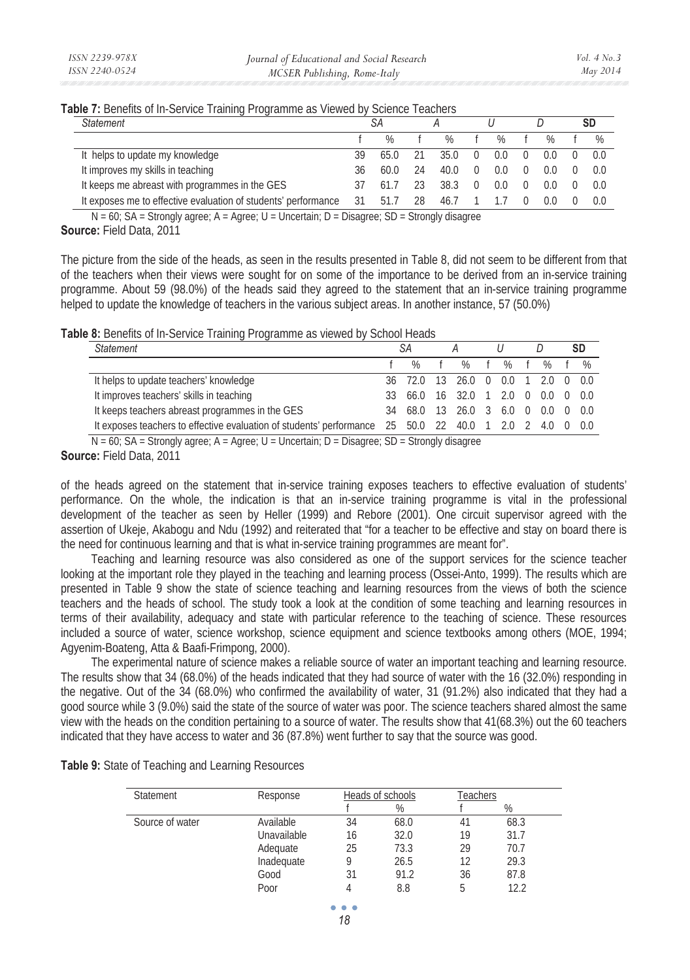#### **Table 7:** Benefits of In-Service Training Programme as Viewed by Science Teachers

| Statement                                                      |    | SA            |    |      |                |      |                |               |  |       |
|----------------------------------------------------------------|----|---------------|----|------|----------------|------|----------------|---------------|--|-------|
|                                                                |    | $\frac{0}{6}$ |    | $\%$ |                | $\%$ |                | $\frac{1}{2}$ |  |       |
| It helps to update my knowledge                                | 39 | 65.0          | 21 | 35.O | $\overline{0}$ | 0.0  | $\overline{0}$ | 0.0           |  |       |
| It improves my skills in teaching                              | 36 | 60.O          | 24 | 40.0 | $\Omega$       | 0.0  | $\Omega$       | 0.0           |  | 0.0   |
| It keeps me abreast with programmes in the GES                 |    | 61.7          | 23 | 38.3 | $\Omega$       | 0.0  | $\Omega$       | 0.0           |  | - 0.0 |
| It exposes me to effective evaluation of students' performance | 31 | 517           | 28 | 46.7 |                |      |                | 0.0           |  | n n   |

N = 60; SA = Strongly agree; A = Agree; U = Uncertain; D = Disagree; SD = Strongly disagree

**Source:** Field Data, 2011

The picture from the side of the heads, as seen in the results presented in Table 8, did not seem to be different from that of the teachers when their views were sought for on some of the importance to be derived from an in-service training programme. About 59 (98.0%) of the heads said they agreed to the statement that an in-service training programme helped to update the knowledge of teachers in the various subject areas. In another instance, 57 (50.0%)

**Table 8:** Benefits of In-Service Training Programme as viewed by School Heads

| Statement                                                                                              | SА |                                   |  |                   |  |  |  |  | <b>SD</b> |  |
|--------------------------------------------------------------------------------------------------------|----|-----------------------------------|--|-------------------|--|--|--|--|-----------|--|
|                                                                                                        |    |                                   |  | % f % f % f % f % |  |  |  |  |           |  |
| It helps to update teachers' knowledge                                                                 |    | 36 72.0 13 26.0 0 0.0 1 2.0 0 0.0 |  |                   |  |  |  |  |           |  |
| It improves teachers' skills in teaching                                                               |    | 33 66.0 16 32.0 1 2.0 0 0.0 0 0.0 |  |                   |  |  |  |  |           |  |
| It keeps teachers abreast programmes in the GES                                                        |    | 34 68.0 13 26.0 3 6.0 0 0.0 0 0.0 |  |                   |  |  |  |  |           |  |
| It exposes teachers to effective evaluation of students' performance 25 50.0 22 40.0 1 2.0 2 4.0 0 0.0 |    |                                   |  |                   |  |  |  |  |           |  |

 $N = 60$ ; SA = Strongly agree; A = Agree; U = Uncertain; D = Disagree; SD = Strongly disagree

**Source:** Field Data, 2011

of the heads agreed on the statement that in-service training exposes teachers to effective evaluation of students' performance. On the whole, the indication is that an in-service training programme is vital in the professional development of the teacher as seen by Heller (1999) and Rebore (2001). One circuit supervisor agreed with the assertion of Ukeje, Akabogu and Ndu (1992) and reiterated that "for a teacher to be effective and stay on board there is the need for continuous learning and that is what in-service training programmes are meant for".

Teaching and learning resource was also considered as one of the support services for the science teacher looking at the important role they played in the teaching and learning process (Ossei-Anto, 1999). The results which are presented in Table 9 show the state of science teaching and learning resources from the views of both the science teachers and the heads of school. The study took a look at the condition of some teaching and learning resources in terms of their availability, adequacy and state with particular reference to the teaching of science. These resources included a source of water, science workshop, science equipment and science textbooks among others (MOE, 1994; Agyenim-Boateng, Atta & Baafi-Frimpong, 2000).

The experimental nature of science makes a reliable source of water an important teaching and learning resource. The results show that 34 (68.0%) of the heads indicated that they had source of water with the 16 (32.0%) responding in the negative. Out of the 34 (68.0%) who confirmed the availability of water, 31 (91.2%) also indicated that they had a good source while 3 (9.0%) said the state of the source of water was poor. The science teachers shared almost the same view with the heads on the condition pertaining to a source of water. The results show that 41(68.3%) out the 60 teachers indicated that they have access to water and 36 (87.8%) went further to say that the source was good.

**Table 9:** State of Teaching and Learning Resources

| Statement       | Response    | Heads of schools |      | <b>Teachers</b> |      |  |  |
|-----------------|-------------|------------------|------|-----------------|------|--|--|
|                 |             |                  | %    |                 | %    |  |  |
| Source of water | Available   | 34               | 68.0 | 41              | 68.3 |  |  |
|                 | Unavailable | 16               | 32.0 | 19              | 31.7 |  |  |
|                 | Adequate    | 25               | 73.3 | 29              | 70.7 |  |  |
|                 | Inadequate  | g                | 26.5 | 12              | 29.3 |  |  |
|                 | Good        | 31               | 91.2 | 36              | 87.8 |  |  |
|                 | Poor        | 4                | 8.8  | 5               | 12.2 |  |  |
| .               |             |                  |      |                 |      |  |  |

*18*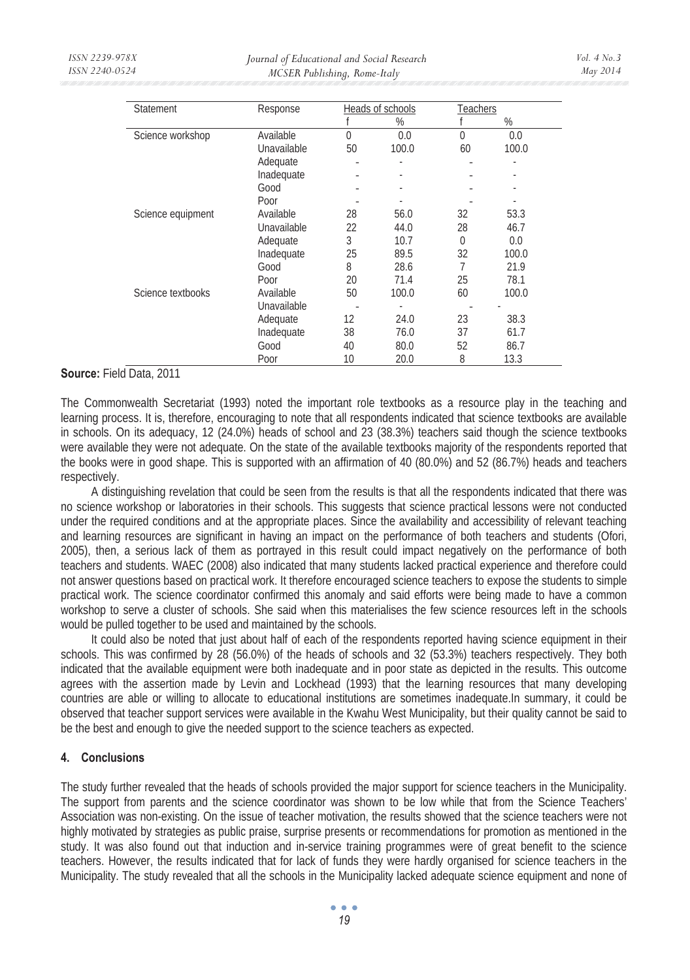| Statement         | Response    |          | Heads of schools | Teachers |       |  |
|-------------------|-------------|----------|------------------|----------|-------|--|
|                   |             |          | %                |          | %     |  |
| Science workshop  | Available   | $\Omega$ | 0.0              | $\Omega$ | 0.0   |  |
|                   | Unavailable | 50       | 100.0            | 60       | 100.0 |  |
|                   | Adequate    |          |                  |          |       |  |
|                   | Inadequate  |          |                  |          |       |  |
|                   | Good        |          |                  |          |       |  |
|                   | Poor        |          |                  |          |       |  |
| Science equipment | Available   | 28       | 56.0             | 32       | 53.3  |  |
|                   | Unavailable | 22       | 44.0             | 28       | 46.7  |  |
|                   | Adequate    | 3        | 10.7             | $\Omega$ | 0.0   |  |
|                   | Inadequate  | 25       | 89.5             | 32       | 100.0 |  |
|                   | Good        | 8        | 28.6             | 7        | 21.9  |  |
|                   | Poor        | 20       | 71.4             | 25       | 78.1  |  |
| Science textbooks | Available   | 50       | 100.0            | 60       | 100.0 |  |
|                   | Unavailable |          |                  |          |       |  |
|                   | Adequate    | 12       | 24.0             | 23       | 38.3  |  |
|                   | Inadequate  | 38       | 76.0             | 37       | 61.7  |  |
|                   | Good        | 40       | 80.0             | 52       | 86.7  |  |
|                   | Poor        | 10       | 20.0             | 8        | 13.3  |  |

# **Source:** Field Data, 2011

The Commonwealth Secretariat (1993) noted the important role textbooks as a resource play in the teaching and learning process. It is, therefore, encouraging to note that all respondents indicated that science textbooks are available in schools. On its adequacy, 12 (24.0%) heads of school and 23 (38.3%) teachers said though the science textbooks were available they were not adequate. On the state of the available textbooks majority of the respondents reported that the books were in good shape. This is supported with an affirmation of 40 (80.0%) and 52 (86.7%) heads and teachers respectively.

A distinguishing revelation that could be seen from the results is that all the respondents indicated that there was no science workshop or laboratories in their schools. This suggests that science practical lessons were not conducted under the required conditions and at the appropriate places. Since the availability and accessibility of relevant teaching and learning resources are significant in having an impact on the performance of both teachers and students (Ofori, 2005), then, a serious lack of them as portrayed in this result could impact negatively on the performance of both teachers and students. WAEC (2008) also indicated that many students lacked practical experience and therefore could not answer questions based on practical work. It therefore encouraged science teachers to expose the students to simple practical work. The science coordinator confirmed this anomaly and said efforts were being made to have a common workshop to serve a cluster of schools. She said when this materialises the few science resources left in the schools would be pulled together to be used and maintained by the schools.

It could also be noted that just about half of each of the respondents reported having science equipment in their schools. This was confirmed by 28 (56.0%) of the heads of schools and 32 (53.3%) teachers respectively. They both indicated that the available equipment were both inadequate and in poor state as depicted in the results. This outcome agrees with the assertion made by Levin and Lockhead (1993) that the learning resources that many developing countries are able or willing to allocate to educational institutions are sometimes inadequate.In summary, it could be observed that teacher support services were available in the Kwahu West Municipality, but their quality cannot be said to be the best and enough to give the needed support to the science teachers as expected.

#### **4. Conclusions**

The study further revealed that the heads of schools provided the major support for science teachers in the Municipality. The support from parents and the science coordinator was shown to be low while that from the Science Teachers' Association was non-existing. On the issue of teacher motivation, the results showed that the science teachers were not highly motivated by strategies as public praise, surprise presents or recommendations for promotion as mentioned in the study. It was also found out that induction and in-service training programmes were of great benefit to the science teachers. However, the results indicated that for lack of funds they were hardly organised for science teachers in the Municipality. The study revealed that all the schools in the Municipality lacked adequate science equipment and none of